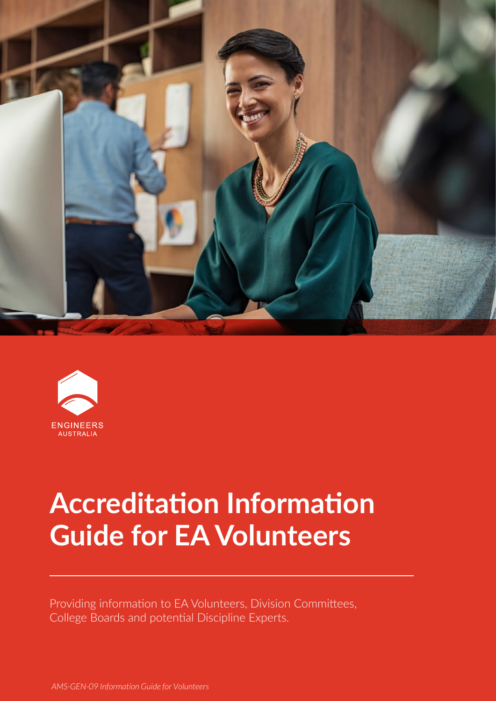



# **Accreditation Information Guide for EA Volunteers**

Providing information to EA Volunteers, Division Committees, College Boards and potential Discipline Experts.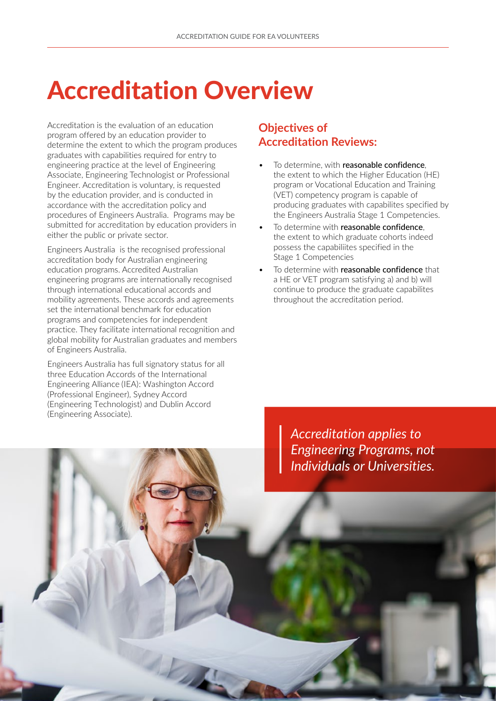# Accreditation Overview

Accreditation is the evaluation of an education program offered by an education provider to determine the extent to which the program produces graduates with capabilities required for entry to engineering practice at the level of Engineering Associate, Engineering Technologist or Professional Engineer. Accreditation is voluntary, is requested by the education provider, and is conducted in accordance with the accreditation policy and procedures of Engineers Australia. Programs may be submitted for accreditation by education providers in either the public or private sector.

Engineers Australia is the recognised professional accreditation body for Australian engineering education programs. Accredited Australian engineering programs are internationally recognised through international educational accords and mobility agreements. These accords and agreements set the international benchmark for education programs and competencies for independent practice. They facilitate international recognition and global mobility for Australian graduates and members of Engineers Australia.

Engineers Australia has full signatory status for all three Education Accords of the International Engineering Alliance (IEA): Washington Accord (Professional Engineer), Sydney Accord (Engineering Technologist) and Dublin Accord (Engineering Associate).

1200

### **Objectives of Accreditation Reviews:**

- To determine, with reasonable confidence. the extent to which the Higher Education (HE) program or Vocational Education and Training (VET) competency program is capable of producing graduates with capabilites specified by the Engineers Australia Stage 1 Competencies.
- To determine with reasonable confidence, the extent to which graduate cohorts indeed possess the capabiliites specified in the Stage 1 Competencies
- To determine with reasonable confidence that a HE or VET program satisfying a) and b) will continue to produce the graduate capabilites throughout the accreditation period.

*Accreditation applies to Engineering Programs, not Individuals or Universities.*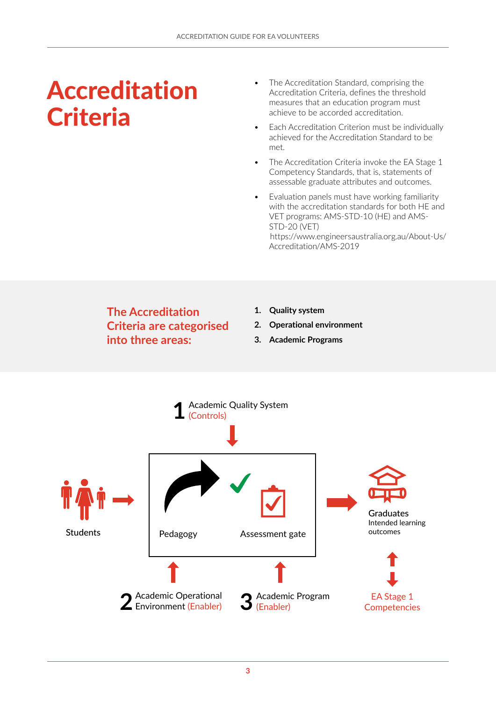## Accreditation **Criteria**

- The Accreditation Standard, comprising the Accreditation Criteria, defines the threshold measures that an education program must achieve to be accorded accreditation.
- Each Accreditation Criterion must be individually achieved for the Accreditation Standard to be met.
- The Accreditation Criteria invoke the EA Stage 1 Competency Standards, that is, statements of assessable graduate attributes and outcomes.
- Evaluation panels must have working familiarity with the accreditation standards for both HE and VET programs: AMS-STD-10 (HE) and AMS-STD-20 (VET) [https://www.engineersaustralia.org.au/About-Us/](https://www.engineersaustralia.org.au/About-Us/Accreditation/AMS-2019) Accreditation/AMS-2019

## **The Accreditation Criteria are categorised into three areas:**

- **1. Quality system**
- **2. Operational environment**
- **3. Academic Programs**

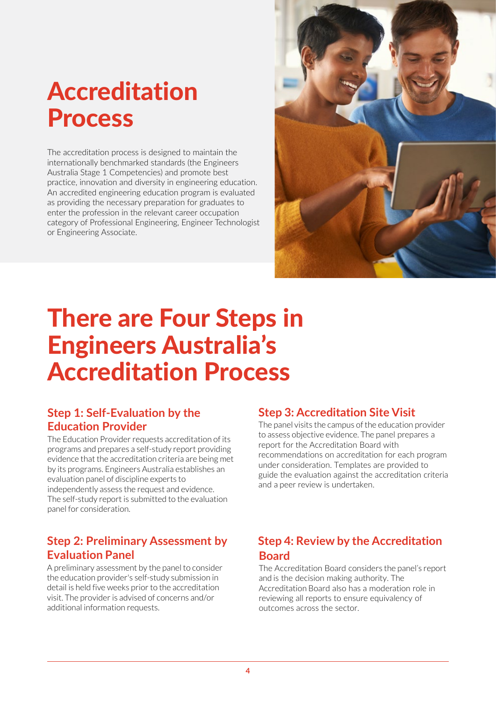# Accreditation Process

The accreditation process is designed to maintain the internationally benchmarked standards (the Engineers Australia Stage 1 Competencies) and promote best practice, innovation and diversity in engineering education. An accredited engineering education program is evaluated as providing the necessary preparation for graduates to enter the profession in the relevant career occupation category of Professional Engineering, Engineer Technologist or Engineering Associate.



## There are Four Steps in Engineers Australia's Accreditation Process

### **Step 1: Self-Evaluation by the Education Provider**

The Education Provider requests accreditation of its programs and prepares a self-study report providing evidence that the accreditation criteria are being met by its programs. Engineers Australia establishes an evaluation panel of discipline experts to independently assess the request and evidence. The self-study report is submitted to the evaluation panel for consideration.

### **Step 2: Preliminary Assessment by Evaluation Panel**

A preliminary assessment by the panel to consider the education provider's self-study submission in detail is held five weeks prior to the accreditation visit. The provider is advised of concerns and/or additional information requests.

### **Step 3: Accreditation Site Visit**

The panel visits the campus of the education provider to assess objective evidence. The panel prepares a report for the Accreditation Board with recommendations on accreditation for each program under consideration. Templates are provided to guide the evaluation against the accreditation criteria and a peer review is undertaken.

## **Step 4: Review by the Accreditation Board**

The Accreditation Board considers the panel's report and is the decision making authority. The Accreditation Board also has a moderation role in reviewing all reports to ensure equivalency of outcomes across the sector.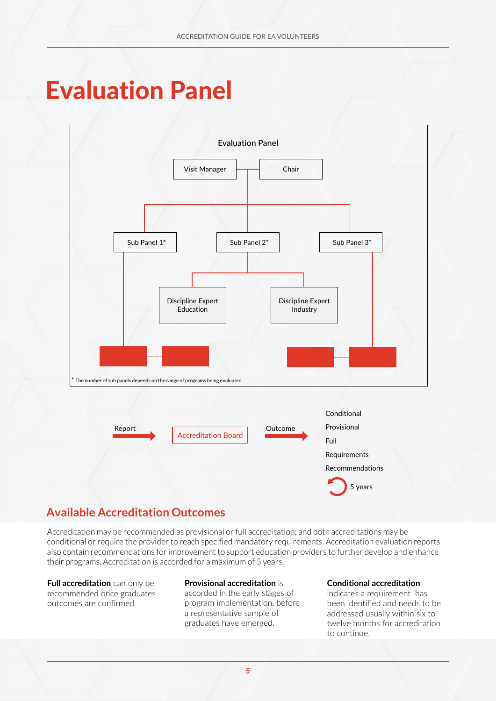## Evaluation Panel



## **Available Accreditation Outcomes**

Accreditation may be recommended as provisional or full accreditation; and both accreditations may be conditional or require the provider to reach specified mandatory requirements. Accreditation evaluation reports also contain recommendations for improvement to support education providers to further develop and enhance their programs. Accreditation is accorded for a maximum of 5 years.

**Full accreditation** can only be recommended once graduates outcomes are confirmed

### **Provisional accreditation** is

accorded in the early stages of program implementation, before a representative sample of graduates have emerged.

#### **Conditional accreditation**

indicates a requirement has been identified and needs to be addressed usually within six to twelve months for accreditation to continue.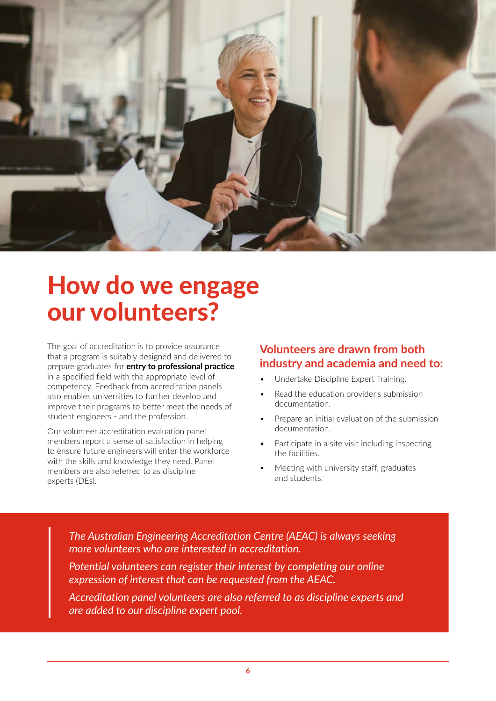

## How do we engage our volunteers?

The goal of accreditation is to provide assurance that a program is suitably designed and delivered to prepare graduates for **entry to professional practice** in a specified field with the appropriate level of competency. Feedback from accreditation panels also enables universities to further develop and improve their programs to better meet the needs of student engineers - and the profession.

Our volunteer accreditation evaluation panel members report a sense of satisfaction in helping to ensure future engineers will enter the workforce with the skills and knowledge they need. Panel members are also referred to as discipline experts (DEs).

### **Volunteers are drawn from both industry and academia and need to:**

- Undertake Discipline Expert Training.
- Read the education provider's submission documentation.
- Prepare an initial evaluation of the submission documentation.
- Participate in a site visit including inspecting the facilities.
- Meeting with university staff, graduates and students.

*The Australian Engineering Accreditation Centre (AEAC) is always seeking more volunteers who are interested in accreditation.* 

*Potential volunteers can register their interest by completing our online expression of interest that can be requested from the AEAC.*

*Accreditation panel volunteers are also referred to as discipline experts and are added to our discipline expert pool.*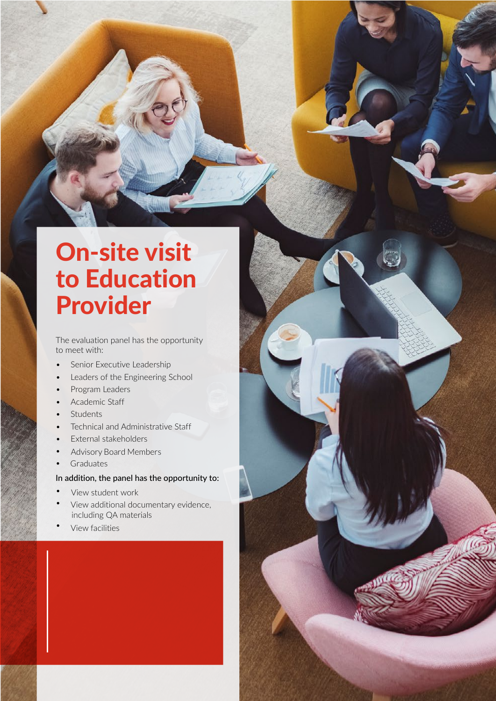## On-site visit to Education Provider

ACCREDITATION GUIDE FOR EACH CHARGE

The evaluation panel has the opportunity to meet with:

- Senior Executive Leadership
- Leaders of the Engineering School
- Program Leaders
- Academic Staff
- **Students**
- Technical and Administrative Staff
- External stakeholders
- Advisory Board Members
- **Graduates**

### In addition, the panel has the opportunity to:

- View student work
- View additional documentary evidence, including QA materials
- View facilities

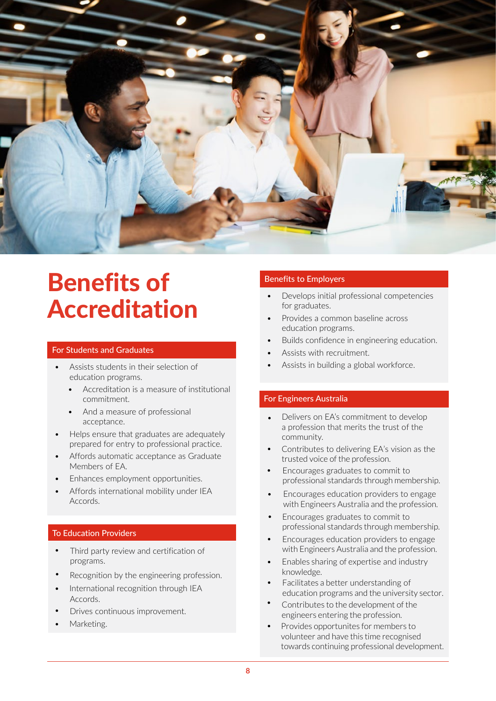

## Benefits of Accreditation

#### For Students and Graduates

- Assists students in their selection of education programs.
	- Accreditation is a measure of institutional commitment.
	- And a measure of professional acceptance.
- Helps ensure that graduates are adequately prepared for entry to professional practice.
- Affords automatic acceptance as Graduate Members of EA.
- Enhances employment opportunities.
- Affords international mobility under IEA Accords.

### To Education Providers

- Third party review and certification of programs.
- Recognition by the engineering profession.
- International recognition through IEA Accords.
- Drives continuous improvement.
- Marketing.

### Benefits to Employers

- Develops initial professional competencies for graduates.
- Provides a common baseline across education programs.
- Builds confidence in engineering education.
- Assists with recruitment.
- Assists in building a global workforce.

#### For Engineers Australia

- Delivers on EA's commitment to develop a profession that merits the trust of the community.
- Contributes to delivering EA's vision as the trusted voice of the profession.
- Encourages graduates to commit to professional standards through membership.
- Encourages education providers to engage with Engineers Australia and the profession.
- Encourages graduates to commit to professional standards through membership.
- Encourages education providers to engage with Engineers Australia and the profession.
- Enables sharing of expertise and industry knowledge.
- Facilitates a better understanding of education programs and the university sector.
- Contributes to the development of the engineers entering the profession.
- Provides opportunites for members to volunteer and have this time recognised towards continuing professional development.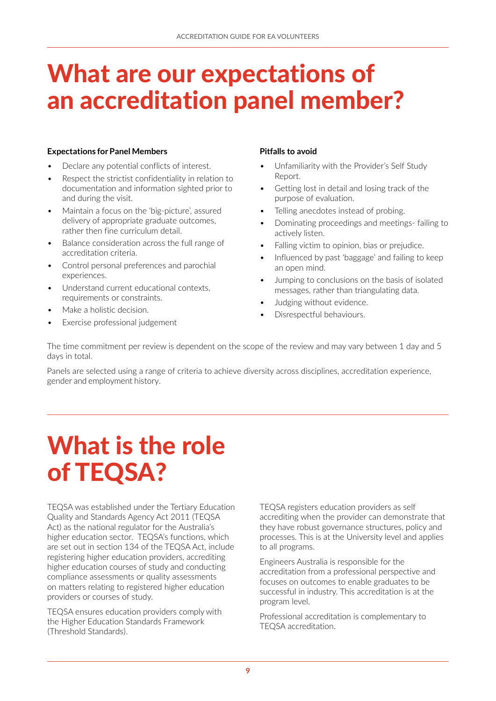## What are our expectations of an accreditation panel member?

#### **Expectations for Panel Members**

- Declare any potential conflicts of interest.
- Respect the strictist confidentiality in relation to documentation and information sighted prior to and during the visit.
- Maintain a focus on the 'big-picture', assured delivery of appropriate graduate outcomes, rather then fine curriculum detail.
- Balance consideration across the full range of accreditation criteria.
- Control personal preferences and parochial experiences.
- Understand current educational contexts, requirements or constraints.
- Make a holistic decision.
- Exercise professional judgement

### **Pitfalls to avoid**

- Unfamiliarity with the Provider's Self Study Report.
- Getting lost in detail and losing track of the purpose of evaluation.
- Telling anecdotes instead of probing.
- Dominating proceedings and meetings- failing to actively listen.
- Falling victim to opinion, bias or prejudice.
- Influenced by past 'baggage' and failing to keep an open mind.
- Jumping to conclusions on the basis of isolated messages, rather than triangulating data.
- Judging without evidence.
- Disrespectful behaviours.

The time commitment per review is dependent on the scope of the review and may vary between 1 day and 5 days in total.

Panels are selected using a range of criteria to achieve diversity across disciplines, accreditation experience, gender and employment history.

# What is the role of TEQSA?

TEQSA was established under the Tertiary Education Quality and Standards Agency Act 2011 (TEQSA Act) as the national regulator for the Australia's higher education sector. TEQSA's functions, which are set out in section 134 of the TEQSA Act, include registering higher education providers, accrediting higher education courses of study and conducting compliance assessments or quality assessments on matters relating to registered higher education providers or courses of study.

TEQSA ensures education providers comply with the Higher Education Standards Framework (Threshold Standards).

TEQSA registers education providers as self accrediting when the provider can demonstrate that they have robust governance structures, policy and processes. This is at the University level and applies to all programs.

Engineers Australia is responsible for the accreditation from a professional perspective and focuses on outcomes to enable graduates to be successful in industry. This accreditation is at the program level.

Professional accreditation is complementary to TEQSA accreditation.